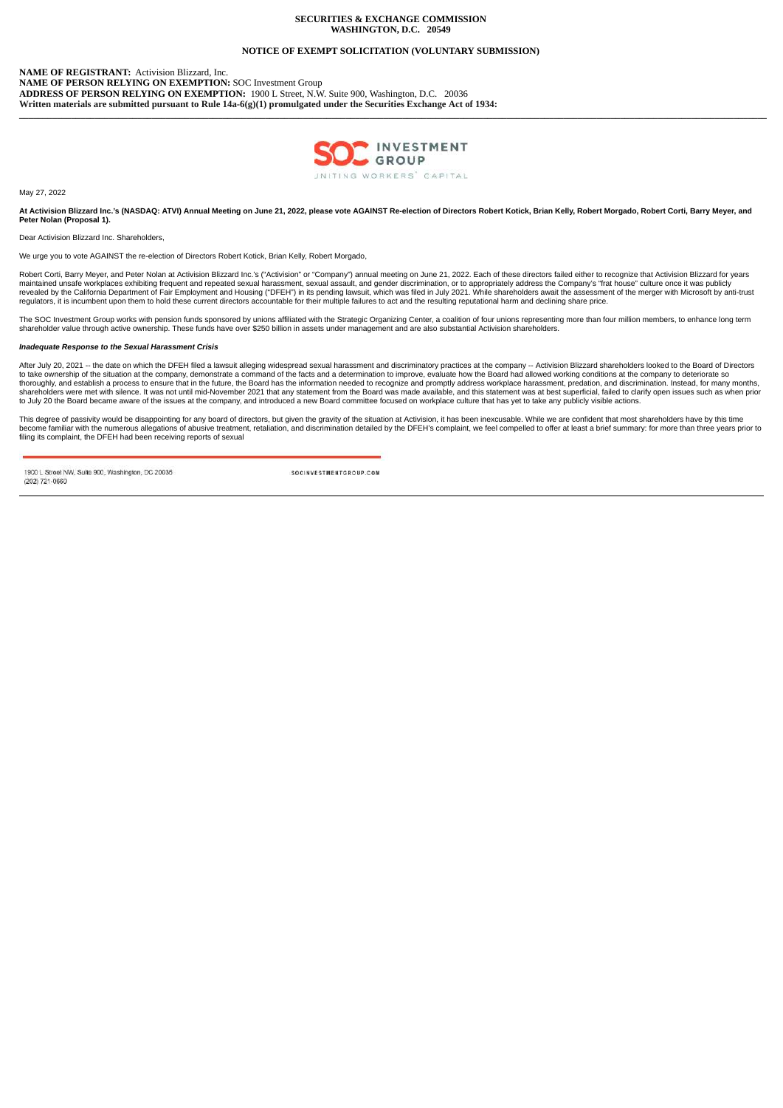## **SECURITIES & EXCHANGE COMMISSION WASHINGTON, D.C. 20549**

# **NOTICE OF EXEMPT SOLICITATION (VOLUNTARY SUBMISSION)**

**NAME OF REGISTRANT:** Activision Blizzard, Inc. **NAME OF PERSON RELYING ON EXEMPTION:** SOC Investment Group **ADDRESS OF PERSON RELYING ON EXEMPTION:** 1900 L Street, N.W. Suite 900, Washington, D.C. 20036 **Written materials are submitted pursuant to Rule 14a-6(g)(1) promulgated under the Securities Exchange Act of 1934:**



**\_\_\_\_\_\_\_\_\_\_\_\_\_\_\_\_\_\_\_\_\_\_\_\_\_\_\_\_\_\_\_\_\_\_\_\_\_\_\_\_\_\_\_\_\_\_\_\_\_\_\_\_\_\_\_\_\_\_\_\_\_\_\_\_\_\_\_\_\_\_\_\_\_\_\_\_\_\_\_\_\_\_\_\_\_\_\_\_\_\_\_\_\_\_\_\_\_\_\_\_\_\_\_\_\_\_\_\_\_\_\_\_\_\_\_\_\_\_\_\_\_\_\_\_\_\_\_\_\_\_\_\_\_\_\_\_\_\_\_\_\_\_\_\_\_\_\_\_\_\_\_\_\_\_\_\_\_\_**

May 27, 2022

**At Activision Blizzard Inc.'s (NASDAQ: ATVI) Annual Meeting on June 21, 2022, please vote AGAINST Re-election of Directors Robert Kotick, Brian Kelly, Robert Morgado, Robert Corti, Barry Meyer, and Peter Nolan (Proposal 1).**

Dear Activision Blizzard Inc. Shareholders,

We urge you to vote AGAINST the re-election of Directors Robert Kotick, Brian Kelly, Robert Morgado,

Robert Corti, Barry Meyer, and Peter Nolan at Activision Blizzard Inc.'s ("Activision" or "Company") annual meeting on June 21, 2022. Each of these directors failed either to recognize that Activision Blizzard for years maintained unsafe workplaces exhibiting frequent and repeated sexual harassment, sexual assault, and gender discrimination, or to appropriately address the Company's "frat house" culture once it was publicly<br>revealed by th regulators, it is incumbent upon them to hold these current directors accountable for their multiple failures to act and the resulting reputational harm and declining share price.

The SOC Investment Group works with pension funds sponsored by unions affiliated with the Strategic Organizing Center, a coalition of four unions representing more than four million members, to enhance long term<br>shareholde

#### *Inadequate Response to the Sexual Harassment Crisis*

After July 20, 2021 -- the date on which the DFEH filed a lawsuit alleging widespread sexual harassment and discriminatory practices at the company -- Activision Blizzard shareholders looked to the Board of Directors<br>to ta thoroughly, and establish a process to ensure that in the future, the Board has the information needed to recognize and promptly address workplace harassment, predation, and discrimination. Instead, for many months,<br>shareh to July 20 the Board became aware of the issues at the company, and introduced a new Board committee focused on workplace culture that has yet to take any publicly visible actions.

This degree of passivity would be disappointing for any board of directors, but given the gravity of the situation at Activision, it has been inexcusable. While we are confident that most shareholders have by this time<br>bec

1900 L Street NW, Suite 900, Washington, DC 20036 (202) 721-0660

SOCINVESTMENTGROUP.COM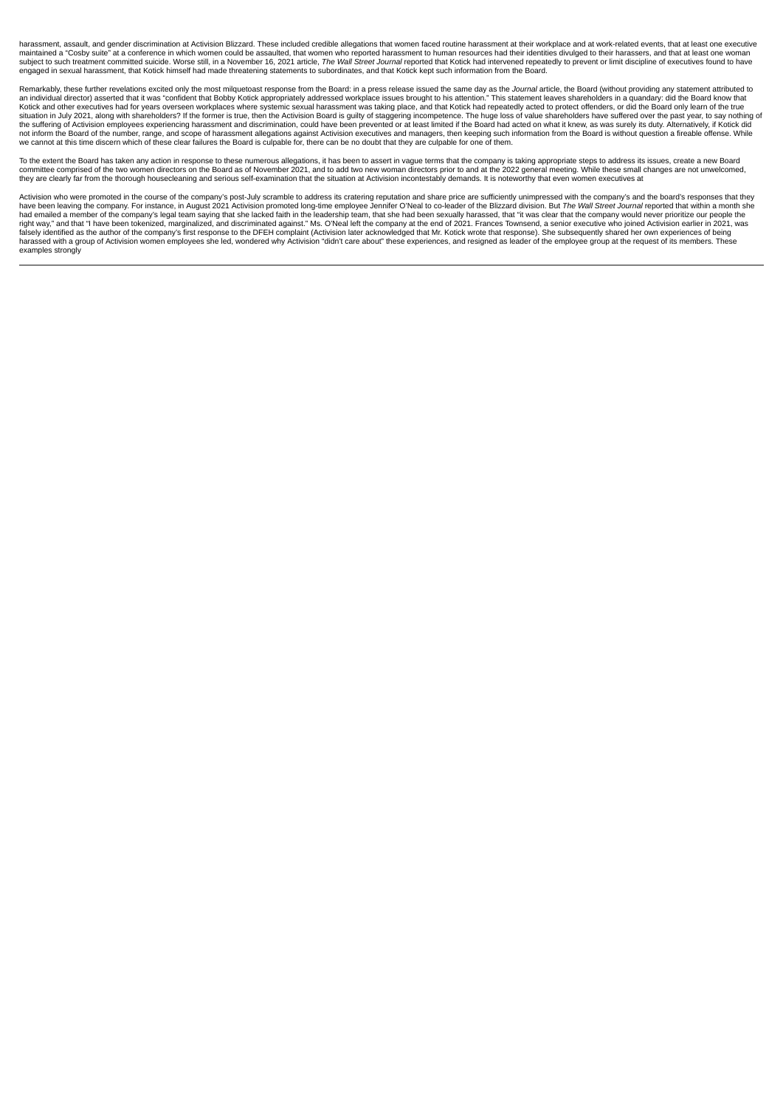harassment, assault, and gender discrimination at Activision Blizzard. These included credible allegations that women faced routine harassment at their workplace and at work-related events, that at least one executive maintained a "Cosby suite" at a conference in which women could be assaulted, that women who reported harassment to human resources had their identities divulged to their harassers, and that at least one woman<br>subject to s engaged in sexual harassment, that Kotick himself had made threatening statements to subordinates, and that Kotick kept such information from the Board.

Remarkably, these further revelations excited only the most milquetoast response from the Board: in a press release issued the same day as the *Journal* article, the Board (without providing any statement attributed to an individual director) asserted that it was "confident that Bobby Kotick appropriately addressed workplace issues brought to his attention." This statement leaves shareholders in a quandary: did the Board know that<br>Kotick situation in July 2021, along with shareholders? If the former is true, then the Activision Board is quilty of staggering incompetence. The huge loss of value shareholders have suffered over the past year, to say nothing o the suffering of Activision employees experiencing harassment and discrimination, could have been prevented or at least limited if the Board had acted on what it knew, as was surely its duty. Alternatively, if Kotick did<br>n we cannot at this time discern which of these clear failures the Board is culpable for, there can be no doubt that they are culpable for one of them.

To the extent the Board has taken any action in response to these numerous allegations, it has been to assert in vague terms that the company is taking appropriate steps to address its issues, create a new Board<br>committee they are clearly far from the thorough housecleaning and serious self-examination that the situation at Activision incontestably demands. It is noteworthy that even women executives at

Activision who were promoted in the course of the company's post-July scramble to address its cratering reputation and share price are sufficiently unimpressed with the company's and the board's responses that they<br>have be had emailed a member of the company's legal team saying that she lacked faith in the leadership team, that she had been sexually harassed, that "it was clear that the company would never prioritize our people the right way," and that "I have been tokenized, marginalized, and discriminated against." Ms. O'Neal left the company at the end of 2021. Frances Townsend, a senior executive who joined Activision earlier in 2021, was<br>falsely harassed with a group of Activision women employees she led, wondered why Activision "didn't care about" these experiences, and resigned as leader of the employee group at the request of its members. These examples strongly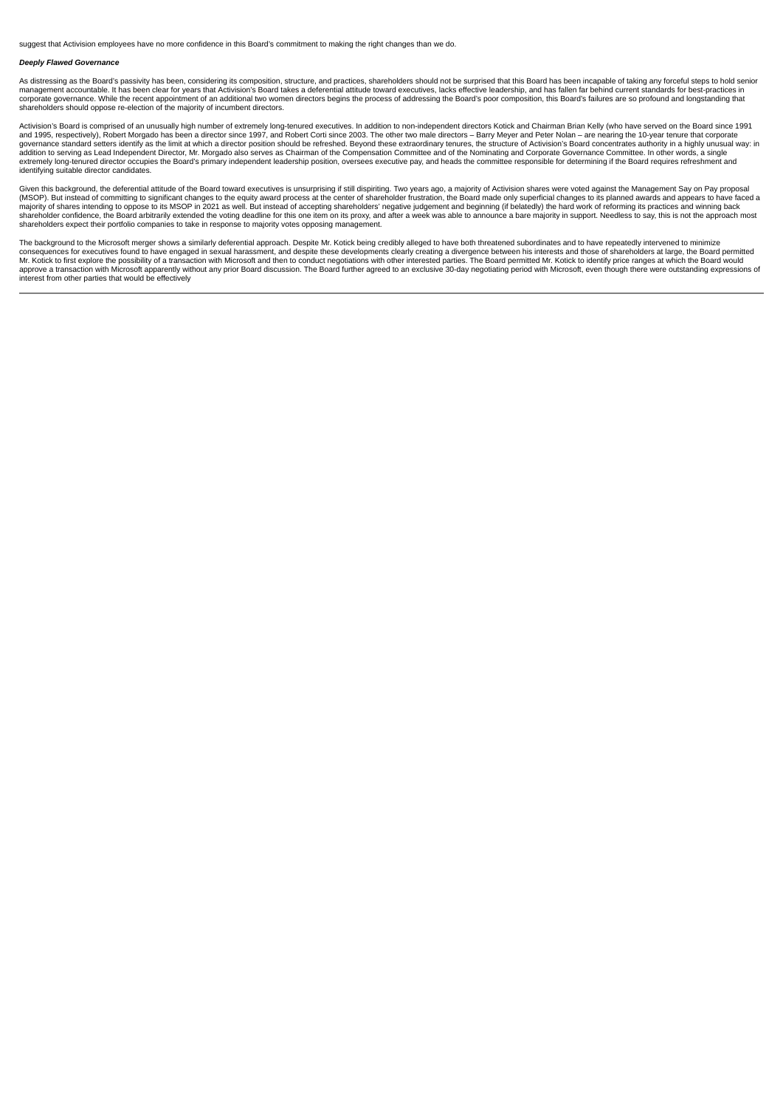suggest that Activision employees have no more confidence in this Board's commitment to making the right changes than we do.

### *Deeply Flawed Governance*

As distressing as the Board's passivity has been, considering its composition, structure, and practices, shareholders should not be surprised that this Board has been incapable of taking any forceful steps to hold senior management accountable. It has been clear for years that Activision's Board takes a deferential attitude toward executives, lacks effective leadership, and has fallen far behind current standards for best-practices in<br>corp shareholders should oppose re-election of the majority of incumbent directors.

Activision's Board is comprised of an unusually high number of extremely long-tenured executives. In addition to non-independent directors Kotick and Chairman Brian Kelly (who have served on the Board since 1991 and 1995, respectively), Robert Morgado has been a director since 1997, and Robert Corti since 2003. The other two male directors – Barry Meyer and Peter Nolan – are nearing the 10-year tenure that corporate<br>governance sta addition to serving as Lead Independent Director, Mr. Morgado also serves as Chairman of the Compensation Committee and of the Nominating and Corporate Governance Committee. In other words, a single<br>extremely long-tenured identifying suitable director candidates.

Given this background, the deferential attitude of the Board toward executives is unsurprising if still dispiriting. Two years ago, a majority of Activision shares were voted against the Management Say on Pay proposal (MSOP). But instead of committing to significant changes to the equity award process at the center of shareholder frustration, the Board made only superficial changes to its planned awards and appears to have faced a<br>major shareholders expect their portfolio companies to take in response to majority votes opposing management.

The background to the Microsoft merger shows a similarly deferential approach. Despite Mr. Kotick being credibly alleged to have both threatened subordinates and to have repeatedly intervened to minimize<br>consequences for e interest from other parties that would be effectively